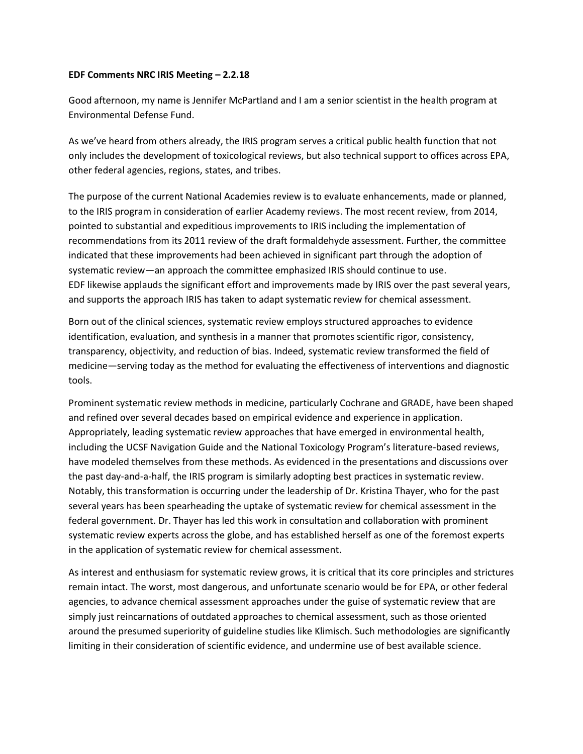## **EDF Comments NRC IRIS Meeting – 2.2.18**

Good afternoon, my name is Jennifer McPartland and I am a senior scientist in the health program at Environmental Defense Fund.

As we've heard from others already, the IRIS program serves a critical public health function that not only includes the development of toxicological reviews, but also technical support to offices across EPA, other federal agencies, regions, states, and tribes.

The purpose of the current National Academies review is to evaluate enhancements, made or planned, to the IRIS program in consideration of earlier Academy reviews. The most recent review, from 2014, pointed to substantial and expeditious improvements to IRIS including the implementation of recommendations from its 2011 review of the draft formaldehyde assessment. Further, the committee indicated that these improvements had been achieved in significant part through the adoption of systematic review—an approach the committee emphasized IRIS should continue to use. EDF likewise applauds the significant effort and improvements made by IRIS over the past several years, and supports the approach IRIS has taken to adapt systematic review for chemical assessment.

Born out of the clinical sciences, systematic review employs structured approaches to evidence identification, evaluation, and synthesis in a manner that promotes scientific rigor, consistency, transparency, objectivity, and reduction of bias. Indeed, systematic review transformed the field of medicine—serving today as the method for evaluating the effectiveness of interventions and diagnostic tools.

Prominent systematic review methods in medicine, particularly Cochrane and GRADE, have been shaped and refined over several decades based on empirical evidence and experience in application. Appropriately, leading systematic review approaches that have emerged in environmental health, including the UCSF Navigation Guide and the National Toxicology Program's literature-based reviews, have modeled themselves from these methods. As evidenced in the presentations and discussions over the past day-and-a-half, the IRIS program is similarly adopting best practices in systematic review. Notably, this transformation is occurring under the leadership of Dr. Kristina Thayer, who for the past several years has been spearheading the uptake of systematic review for chemical assessment in the federal government. Dr. Thayer has led this work in consultation and collaboration with prominent systematic review experts across the globe, and has established herself as one of the foremost experts in the application of systematic review for chemical assessment.

As interest and enthusiasm for systematic review grows, it is critical that its core principles and strictures remain intact. The worst, most dangerous, and unfortunate scenario would be for EPA, or other federal agencies, to advance chemical assessment approaches under the guise of systematic review that are simply just reincarnations of outdated approaches to chemical assessment, such as those oriented around the presumed superiority of guideline studies like Klimisch. Such methodologies are significantly limiting in their consideration of scientific evidence, and undermine use of best available science.